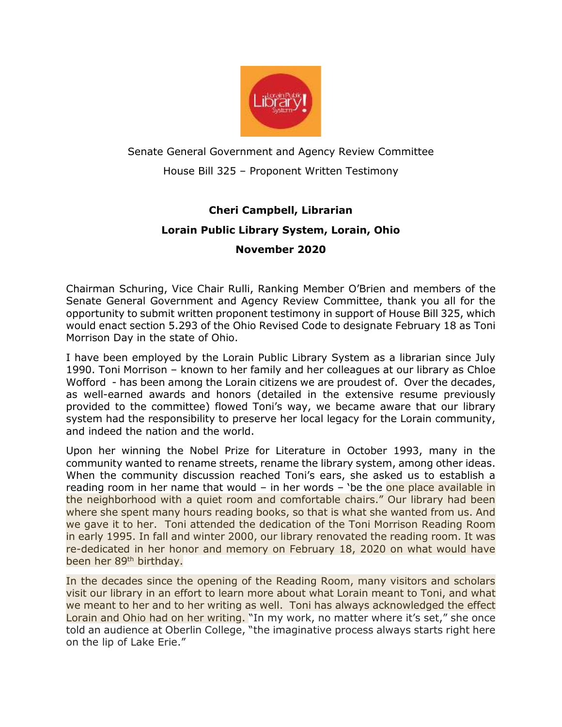

## Senate General Government and Agency Review Committee House Bill 325 – Proponent Written Testimony

## **Cheri Campbell, Librarian Lorain Public Library System, Lorain, Ohio**

## **November 2020**

Chairman Schuring, Vice Chair Rulli, Ranking Member O'Brien and members of the Senate General Government and Agency Review Committee, thank you all for the opportunity to submit written proponent testimony in support of House Bill 325, which would enact section 5.293 of the Ohio Revised Code to designate February 18 as Toni Morrison Day in the state of Ohio.

I have been employed by the Lorain Public Library System as a librarian since July 1990. Toni Morrison – known to her family and her colleagues at our library as Chloe Wofford - has been among the Lorain citizens we are proudest of. Over the decades, as well-earned awards and honors (detailed in the extensive resume previously provided to the committee) flowed Toni's way, we became aware that our library system had the responsibility to preserve her local legacy for the Lorain community, and indeed the nation and the world.

Upon her winning the Nobel Prize for Literature in October 1993, many in the community wanted to rename streets, rename the library system, among other ideas. When the community discussion reached Toni's ears, she asked us to establish a reading room in her name that would – in her words – 'be the one place available in the neighborhood with a quiet room and comfortable chairs." Our library had been where she spent many hours reading books, so that is what she wanted from us. And we gave it to her. Toni attended the dedication of the Toni Morrison Reading Room in early 1995. In fall and winter 2000, our library renovated the reading room. It was re-dedicated in her honor and memory on February 18, 2020 on what would have been her 89th birthday.

In the decades since the opening of the Reading Room, many visitors and scholars visit our library in an effort to learn more about what Lorain meant to Toni, and what we meant to her and to her writing as well. Toni has always acknowledged the effect Lorain and Ohio had on her writing. "In my work, no matter where it's set," she once told an audience at Oberlin College, "the imaginative process always starts right here on the lip of Lake Erie."